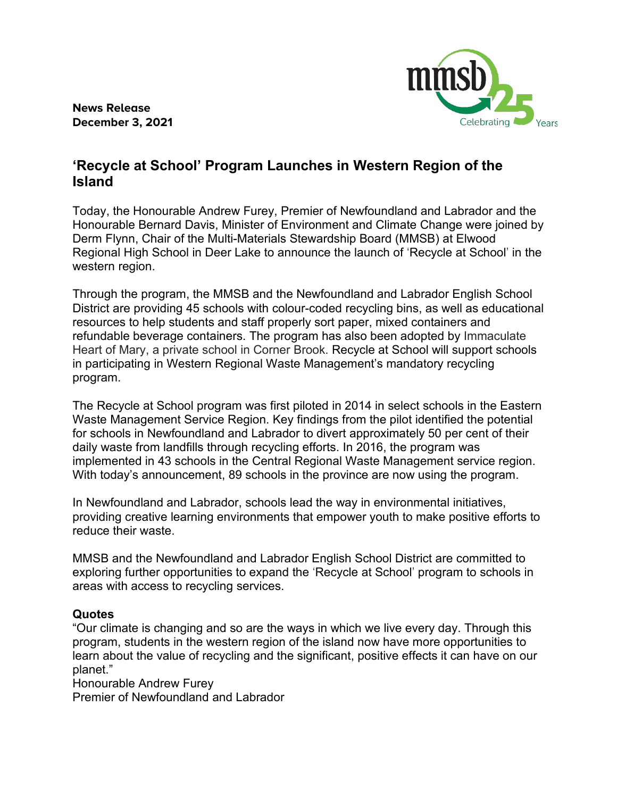**News Release December 3, 2021**



## **'Recycle at School' Program Launches in Western Region of the Island**

Today, the Honourable Andrew Furey, Premier of Newfoundland and Labrador and the Honourable Bernard Davis, Minister of Environment and Climate Change were joined by Derm Flynn, Chair of the Multi-Materials Stewardship Board (MMSB) at Elwood Regional High School in Deer Lake to announce the launch of 'Recycle at School' in the western region.

Through the program, the MMSB and the Newfoundland and Labrador English School District are providing 45 schools with colour-coded recycling bins, as well as educational resources to help students and staff properly sort paper, mixed containers and refundable beverage containers. The program has also been adopted by Immaculate Heart of Mary, a private school in Corner Brook. Recycle at School will support schools in participating in Western Regional Waste Management's mandatory recycling program.

The Recycle at School program was first piloted in 2014 in select schools in the Eastern Waste Management Service Region. Key findings from the pilot identified the potential for schools in Newfoundland and Labrador to divert approximately 50 per cent of their daily waste from landfills through recycling efforts. In 2016, the program was implemented in 43 schools in the Central Regional Waste Management service region. With today's announcement, 89 schools in the province are now using the program.

In Newfoundland and Labrador, schools lead the way in environmental initiatives, providing creative learning environments that empower youth to make positive efforts to reduce their waste.

MMSB and the Newfoundland and Labrador English School District are committed to exploring further opportunities to expand the 'Recycle at School' program to schools in areas with access to recycling services.

## **Quotes**

"Our climate is changing and so are the ways in which we live every day. Through this program, students in the western region of the island now have more opportunities to learn about the value of recycling and the significant, positive effects it can have on our planet."

Honourable Andrew Furey

Premier of Newfoundland and Labrador